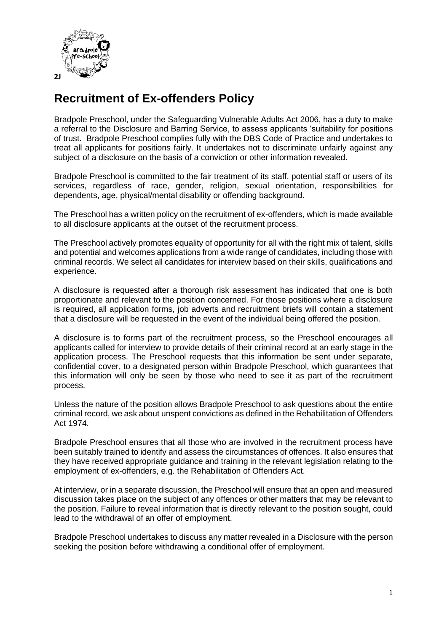

## **Recruitment of Ex-offenders Policy**

Bradpole Preschool, under the Safeguarding Vulnerable Adults Act 2006, has a duty to make a referral to the Disclosure and Barring Service, to assess applicants 'suitability for positions of trust. Bradpole Preschool complies fully with the DBS Code of Practice and undertakes to treat all applicants for positions fairly. It undertakes not to discriminate unfairly against any subject of a disclosure on the basis of a conviction or other information revealed.

Bradpole Preschool is committed to the fair treatment of its staff, potential staff or users of its services, regardless of race, gender, religion, sexual orientation, responsibilities for dependents, age, physical/mental disability or offending background.

The Preschool has a written policy on the recruitment of ex-offenders, which is made available to all disclosure applicants at the outset of the recruitment process.

The Preschool actively promotes equality of opportunity for all with the right mix of talent, skills and potential and welcomes applications from a wide range of candidates, including those with criminal records. We select all candidates for interview based on their skills, qualifications and experience.

A disclosure is requested after a thorough risk assessment has indicated that one is both proportionate and relevant to the position concerned. For those positions where a disclosure is required, all application forms, job adverts and recruitment briefs will contain a statement that a disclosure will be requested in the event of the individual being offered the position.

A disclosure is to forms part of the recruitment process, so the Preschool encourages all applicants called for interview to provide details of their criminal record at an early stage in the application process. The Preschool requests that this information be sent under separate, confidential cover, to a designated person within Bradpole Preschool, which guarantees that this information will only be seen by those who need to see it as part of the recruitment process.

Unless the nature of the position allows Bradpole Preschool to ask questions about the entire criminal record, we ask about unspent convictions as defined in the Rehabilitation of Offenders Act 1974.

Bradpole Preschool ensures that all those who are involved in the recruitment process have been suitably trained to identify and assess the circumstances of offences. It also ensures that they have received appropriate guidance and training in the relevant legislation relating to the employment of ex-offenders, e.g. the Rehabilitation of Offenders Act.

At interview, or in a separate discussion, the Preschool will ensure that an open and measured discussion takes place on the subject of any offences or other matters that may be relevant to the position. Failure to reveal information that is directly relevant to the position sought, could lead to the withdrawal of an offer of employment.

Bradpole Preschool undertakes to discuss any matter revealed in a Disclosure with the person seeking the position before withdrawing a conditional offer of employment.